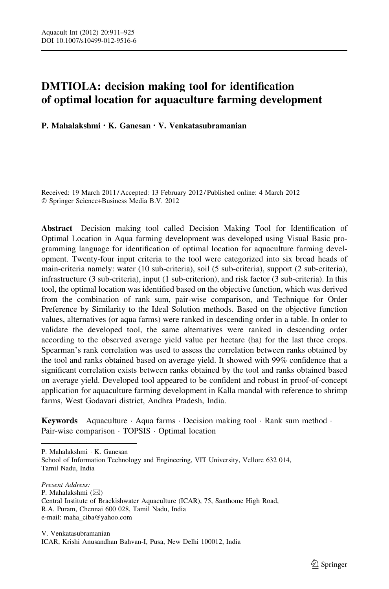# DMTIOLA: decision making tool for identification of optimal location for aquaculture farming development

P. Mahalakshmi • K. Ganesan • V. Venkatasubramanian

Received: 19 March 2011 / Accepted: 13 February 2012 / Published online: 4 March 2012 - Springer Science+Business Media B.V. 2012

Abstract Decision making tool called Decision Making Tool for Identification of Optimal Location in Aqua farming development was developed using Visual Basic programming language for identification of optimal location for aquaculture farming development. Twenty-four input criteria to the tool were categorized into six broad heads of main-criteria namely: water (10 sub-criteria), soil (5 sub-criteria), support (2 sub-criteria), infrastructure (3 sub-criteria), input (1 sub-criterion), and risk factor (3 sub-criteria). In this tool, the optimal location was identified based on the objective function, which was derived from the combination of rank sum, pair-wise comparison, and Technique for Order Preference by Similarity to the Ideal Solution methods. Based on the objective function values, alternatives (or aqua farms) were ranked in descending order in a table. In order to validate the developed tool, the same alternatives were ranked in descending order according to the observed average yield value per hectare (ha) for the last three crops. Spearman's rank correlation was used to assess the correlation between ranks obtained by the tool and ranks obtained based on average yield. It showed with 99% confidence that a significant correlation exists between ranks obtained by the tool and ranks obtained based on average yield. Developed tool appeared to be confident and robust in proof-of-concept application for aquaculture farming development in Kalla mandal with reference to shrimp farms, West Godavari district, Andhra Pradesh, India.

**Keywords** Aquaculture  $\cdot$  Aqua farms  $\cdot$  Decision making tool  $\cdot$  Rank sum method  $\cdot$ Pair-wise comparison · TOPSIS · Optimal location

P. Mahalakshmi - K. Ganesan

School of Information Technology and Engineering, VIT University, Vellore 632 014, Tamil Nadu, India

Present Address: P. Mahalakshmi  $(\boxtimes)$ Central Institute of Brackishwater Aquaculture (ICAR), 75, Santhome High Road, R.A. Puram, Chennai 600 028, Tamil Nadu, India e-mail: maha\_ciba@yahoo.com

V. Venkatasubramanian ICAR, Krishi Anusandhan Bahvan-I, Pusa, New Delhi 100012, India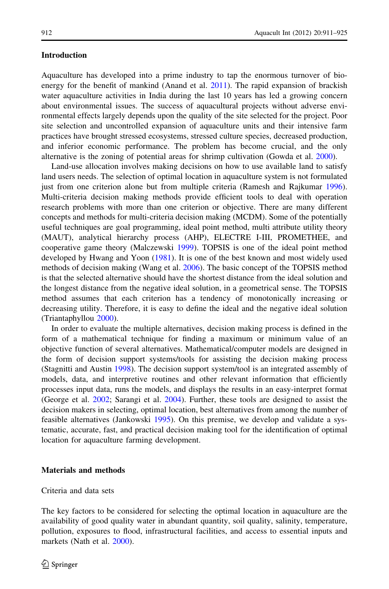# Introduction

Aquaculture has developed into a prime industry to tap the enormous turnover of bioenergy for the benefit of mankind (Anand et al. [2011\)](#page-14-0). The rapid expansion of brackish water aquaculture activities in India during the last 10 years has led a growing concern about environmental issues. The success of aquacultural projects without adverse environmental effects largely depends upon the quality of the site selected for the project. Poor site selection and uncontrolled expansion of aquaculture units and their intensive farm practices have brought stressed ecosystems, stressed culture species, decreased production, and inferior economic performance. The problem has become crucial, and the only alternative is the zoning of potential areas for shrimp cultivation (Gowda et al. [2000\)](#page-14-0).

Land-use allocation involves making decisions on how to use available land to satisfy land users needs. The selection of optimal location in aquaculture system is not formulated just from one criterion alone but from multiple criteria (Ramesh and Rajkumar [1996](#page-14-0)). Multi-criteria decision making methods provide efficient tools to deal with operation research problems with more than one criterion or objective. There are many different concepts and methods for multi-criteria decision making (MCDM). Some of the potentially useful techniques are goal programming, ideal point method, multi attribute utility theory (MAUT), analytical hierarchy process (AHP), ELECTRE I-III, PROMETHEE, and cooperative game theory (Malczewski [1999](#page-14-0)). TOPSIS is one of the ideal point method developed by Hwang and Yoon ([1981\)](#page-14-0). It is one of the best known and most widely used methods of decision making (Wang et al. [2006\)](#page-14-0). The basic concept of the TOPSIS method is that the selected alternative should have the shortest distance from the ideal solution and the longest distance from the negative ideal solution, in a geometrical sense. The TOPSIS method assumes that each criterion has a tendency of monotonically increasing or decreasing utility. Therefore, it is easy to define the ideal and the negative ideal solution (Triantaphyllou [2000](#page-14-0)).

In order to evaluate the multiple alternatives, decision making process is defined in the form of a mathematical technique for finding a maximum or minimum value of an objective function of several alternatives. Mathematical/computer models are designed in the form of decision support systems/tools for assisting the decision making process (Stagnitti and Austin [1998](#page-14-0)). The decision support system/tool is an integrated assembly of models, data, and interpretive routines and other relevant information that efficiently processes input data, runs the models, and displays the results in an easy-interpret format (George et al. [2002;](#page-14-0) Sarangi et al. [2004](#page-14-0)). Further, these tools are designed to assist the decision makers in selecting, optimal location, best alternatives from among the number of feasible alternatives (Jankowski [1995\)](#page-14-0). On this premise, we develop and validate a systematic, accurate, fast, and practical decision making tool for the identification of optimal location for aquaculture farming development.

# Materials and methods

#### Criteria and data sets

The key factors to be considered for selecting the optimal location in aquaculture are the availability of good quality water in abundant quantity, soil quality, salinity, temperature, pollution, exposures to flood, infrastructural facilities, and access to essential inputs and markets (Nath et al. [2000](#page-14-0)).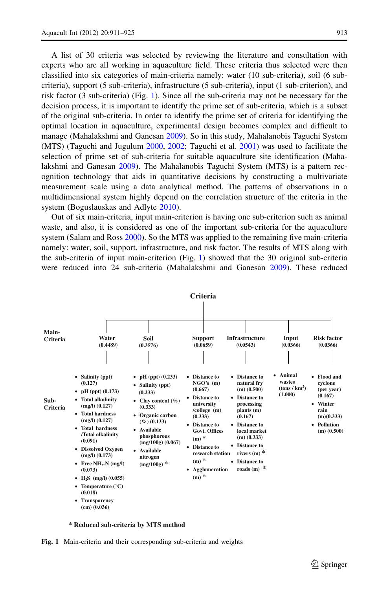<span id="page-2-0"></span>experts who are all working in aquaculture field. These criteria thus selected were then classified into six categories of main-criteria namely: water (10 sub-criteria), soil (6 subcriteria), support (5 sub-criteria), infrastructure (5 sub-criteria), input (1 sub-criterion), and risk factor (3 sub-criteria) (Fig. 1). Since all the sub-criteria may not be necessary for the decision process, it is important to identify the prime set of sub-criteria, which is a subset of the original sub-criteria. In order to identify the prime set of criteria for identifying the optimal location in aquaculture, experimental design becomes complex and difficult to manage (Mahalakshmi and Ganesan [2009\)](#page-14-0). So in this study, Mahalanobis Taguchi System (MTS) (Taguchi and Jugulum [2000](#page-14-0), [2002;](#page-14-0) Taguchi et al. [2001\)](#page-14-0) was used to facilitate the selection of prime set of sub-criteria for suitable aquaculture site identification (Mahalakshmi and Ganesan [2009](#page-14-0)). The Mahalanobis Taguchi System (MTS) is a pattern recognition technology that aids in quantitative decisions by constructing a multivariate measurement scale using a data analytical method. The patterns of observations in a multidimensional system highly depend on the correlation structure of the criteria in the system (Boguslauskas and Adlyte [2010](#page-14-0)).

Out of six main-criteria, input main-criterion is having one sub-criterion such as animal waste, and also, it is considered as one of the important sub-criteria for the aquaculture system (Salam and Ross [2000\)](#page-14-0). So the MTS was applied to the remaining five main-criteria namely: water, soil, support, infrastructure, and risk factor. The results of MTS along with the sub-criteria of input main-criterion (Fig. 1) showed that the 30 original sub-criteria were reduced into 24 sub-criteria (Mahalakshmi and Ganesan [2009](#page-14-0)). These reduced



**\* Reduced sub-criteria by MTS method** 

Fig. 1 Main-criteria and their corresponding sub-criteria and weights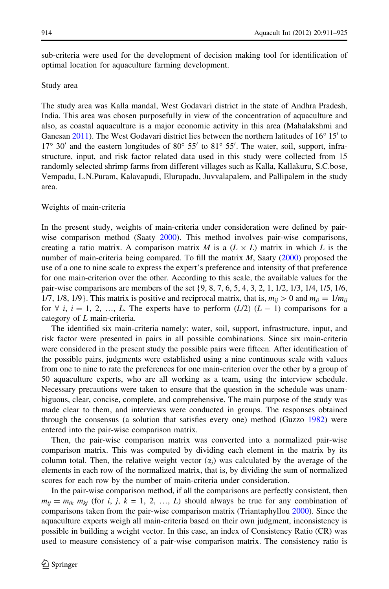<span id="page-3-0"></span>sub-criteria were used for the development of decision making tool for identification of optimal location for aquaculture farming development.

#### Study area

The study area was Kalla mandal, West Godavari district in the state of Andhra Pradesh, India. This area was chosen purposefully in view of the concentration of aquaculture and also, as coastal aquaculture is a major economic activity in this area (Mahalakshmi and Ganesan [2011\)](#page-14-0). The West Godavari district lies between the northern latitudes of  $16^{\circ} 15'$  to  $17^{\circ}$  30' and the eastern longitudes of 80 $^{\circ}$  55' to 81 $^{\circ}$  55'. The water, soil, support, infrastructure, input, and risk factor related data used in this study were collected from 15 randomly selected shrimp farms from different villages such as Kalla, Kallakuru, S.C.bose, Vempadu, L.N.Puram, Kalavapudi, Elurupadu, Juvvalapalem, and Pallipalem in the study area.

#### Weights of main-criteria

In the present study, weights of main-criteria under consideration were defined by pair-wise comparison method (Saaty [2000\)](#page-14-0). This method involves pair-wise comparisons, creating a ratio matrix. A comparison matrix M is a  $(L \times L)$  matrix in which L is the number of main-criteria being compared. To fill the matrix  $M$ , Saaty [\(2000](#page-14-0)) proposed the use of a one to nine scale to express the expert's preference and intensity of that preference for one main-criterion over the other. According to this scale, the available values for the pair-wise comparisons are members of the set {9, 8, 7, 6, 5, 4, 3, 2, 1, 1/2, 1/3, 1/4, 1/5, 1/6, 1/7, 1/8, 1/9}. This matrix is positive and reciprocal matrix, that is,  $m_{ij} > 0$  and  $m_{ji} = 1/m_{ij}$ for  $\forall$  i, i = 1, 2, ..., L. The experts have to perform (L/2) (L - 1) comparisons for a category of L main-criteria.

The identified six main-criteria namely: water, soil, support, infrastructure, input, and risk factor were presented in pairs in all possible combinations. Since six main-criteria were considered in the present study the possible pairs were fifteen. After identification of the possible pairs, judgments were established using a nine continuous scale with values from one to nine to rate the preferences for one main-criterion over the other by a group of 50 aquaculture experts, who are all working as a team, using the interview schedule. Necessary precautions were taken to ensure that the question in the schedule was unambiguous, clear, concise, complete, and comprehensive. The main purpose of the study was made clear to them, and interviews were conducted in groups. The responses obtained through the consensus (a solution that satisfies every one) method (Guzzo [1982\)](#page-14-0) were entered into the pair-wise comparison matrix.

Then, the pair-wise comparison matrix was converted into a normalized pair-wise comparison matrix. This was computed by dividing each element in the matrix by its column total. Then, the relative weight vector  $(\alpha_i)$  was calculated by the average of the elements in each row of the normalized matrix, that is, by dividing the sum of normalized scores for each row by the number of main-criteria under consideration.

In the pair-wise comparison method, if all the comparisons are perfectly consistent, then  $m_{ij} = m_{ik} m_{kj}$  (for i, j, k = 1, 2, ..., L) should always be true for any combination of comparisons taken from the pair-wise comparison matrix (Triantaphyllou [2000](#page-14-0)). Since the aquaculture experts weigh all main-criteria based on their own judgment, inconsistency is possible in building a weight vector. In this case, an index of Consistency Ratio (CR) was used to measure consistency of a pair-wise comparison matrix. The consistency ratio is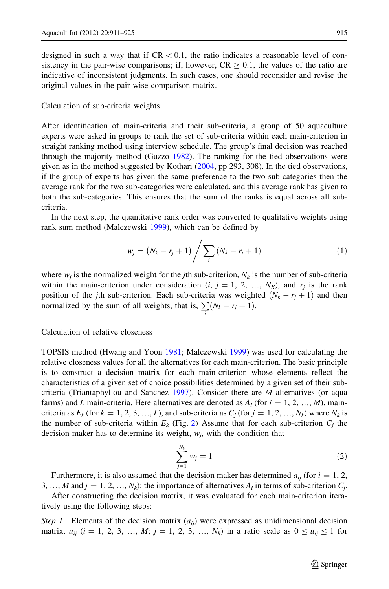designed in such a way that if  $CR < 0.1$ , the ratio indicates a reasonable level of consistency in the pair-wise comparisons; if, however,  $CR > 0.1$ , the values of the ratio are indicative of inconsistent judgments. In such cases, one should reconsider and revise the original values in the pair-wise comparison matrix.

# Calculation of sub-criteria weights

After identification of main-criteria and their sub-criteria, a group of 50 aquaculture experts were asked in groups to rank the set of sub-criteria within each main-criterion in straight ranking method using interview schedule. The group's final decision was reached through the majority method (Guzzo [1982](#page-14-0)). The ranking for the tied observations were given as in the method suggested by Kothari [\(2004](#page-14-0), pp 293, 308). In the tied observations, if the group of experts has given the same preference to the two sub-categories then the average rank for the two sub-categories were calculated, and this average rank has given to both the sub-categories. This ensures that the sum of the ranks is equal across all subcriteria.

In the next step, the quantitative rank order was converted to qualitative weights using rank sum method (Malczewski [1999](#page-14-0)), which can be defined by

$$
w_j = (N_k - r_j + 1) / \sum_i (N_k - r_i + 1)
$$
 (1)

where  $w_i$  is the normalized weight for the *j*th sub-criterion,  $N_k$  is the number of sub-criteria within the main-criterion under consideration  $(i, j = 1, 2, ..., N<sub>K</sub>)$ , and  $r<sub>j</sub>$  is the rank position of the jth sub-criterion. Each sub-criteria was weighted  $(N_k - r_j + 1)$  and then normalized by the sum of all weights, that is,  $\sum_i (N_k - r_i + 1)$ .

Calculation of relative closeness

TOPSIS method (Hwang and Yoon [1981](#page-14-0); Malczewski [1999](#page-14-0)) was used for calculating the relative closeness values for all the alternatives for each main-criterion. The basic principle is to construct a decision matrix for each main-criterion whose elements reflect the characteristics of a given set of choice possibilities determined by a given set of their sub-criteria (Triantaphyllou and Sanchez [1997\)](#page-14-0). Consider there are  $M$  alternatives (or aqua farms) and L main-criteria. Here alternatives are denoted as  $A_i$  (for  $i = 1, 2, ..., M$ ), maincriteria as  $E_k$  (for  $k = 1, 2, 3, ..., L$ ), and sub-criteria as  $C_i$  (for  $j = 1, 2, ..., N_k$ ) where  $N_k$  is the number of sub-criteria within  $E_k$  (Fig. [2\)](#page-5-0) Assume that for each sub-criterion  $C_i$  the decision maker has to determine its weight,  $w_i$ , with the condition that

$$
\sum_{j=1}^{N_k} w_j = 1 \tag{2}
$$

Furthermore, it is also assumed that the decision maker has determined  $a_{ii}$  (for  $i = 1, 2$ , 3, …, M and  $j = 1, 2, ..., N_k$ ; the importance of alternatives  $A_i$  in terms of sub-criterion  $C_i$ .

After constructing the decision matrix, it was evaluated for each main-criterion iteratively using the following steps:

*Step 1* Elements of the decision matrix  $(a_{ij})$  were expressed as unidimensional decision matrix,  $u_{ij}$  ( $i = 1, 2, 3, ..., M$ ;  $j = 1, 2, 3, ..., N_k$ ) in a ratio scale as  $0 \le u_{ij} \le 1$  for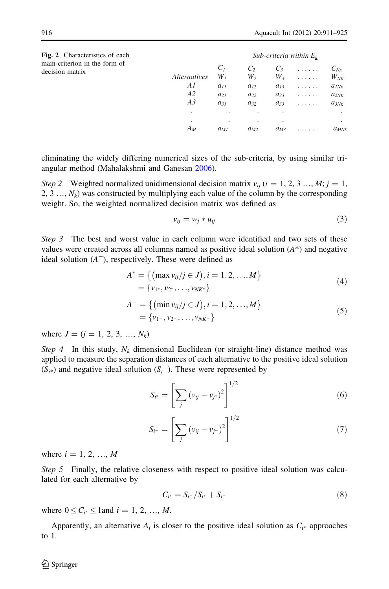*Sub-criteria within Ek*

<span id="page-5-0"></span>

| Fig. 2 Characteristics of each |
|--------------------------------|
| main-criterion in the form of  |
| decision matrix                |

|              | C <sub>1</sub> | $\mathcal{C}$ | $C_3$    | . | $C_{N\text{K}}$ |  |  |  |  |
|--------------|----------------|---------------|----------|---|-----------------|--|--|--|--|
| Alternatives | $W_I$          | W,            | $W_3$    | . | $W_{N K}$       |  |  |  |  |
| Al           | $a_{11}$       | $a_{12}$      | $a_{13}$ | . | $a_{INK}$       |  |  |  |  |
| A2           | $a_{21}$       | $a_{22}$      | $a_{23}$ | . | $a_{2NK}$       |  |  |  |  |
| A3           | $a_{31}$       | $a_{32}$      | $a_{33}$ | . | $a_{3NK}$       |  |  |  |  |
|              | $\bullet$      |               |          |   |                 |  |  |  |  |
|              |                | $\cdot$       | ٠        |   | ٠               |  |  |  |  |
| Aм           | $a_{MI}$       | $a_{M2}$      | $a_{M3}$ |   | $a_{MNk}$       |  |  |  |  |
|              |                |               |          |   |                 |  |  |  |  |

eliminating the widely differing numerical sizes of the sub-criteria, by using similar triangular method (Mahalakshmi and Ganesan [2006\)](#page-14-0).

Step 2 Weighted normalized unidimensional decision matrix  $v_{ii}$  (i = 1, 2, 3 …, M; j = 1, 2, 3  $\ldots$ ,  $N_k$ ) was constructed by multiplying each value of the column by the corresponding weight. So, the weighted normalized decision matrix was defined as

$$
v_{ij} = w_j * u_{ij} \tag{3}
$$

Step 3 The best and worst value in each column were identified and two sets of these values were created across all columns named as positive ideal solution  $(A^*)$  and negative ideal solution  $(A^-)$ , respectively. These were defined as

$$
A^* = \{ (\max v_{ij}/j \in J), i = 1, 2, ..., M \}
$$
  
= {v<sub>1</sub>, v<sub>2</sub>, ..., v<sub>NK</sub> } (4)

$$
A^{-} = \{ (\min v_{ij}/j \in J), i = 1, 2, ..., M \}
$$
  
= {v<sub>1</sub>-, v<sub>2</sub>-, ..., v<sub>NK</sub> - } (5)

where  $J = (i = 1, 2, 3, ..., N_k)$ 

Step 4 In this study,  $N_k$  dimensional Euclidean (or straight-line) distance method was applied to measure the separation distances of each alternative to the positive ideal solution  $(S<sub>i</sub>*)$  and negative ideal solution  $(S<sub>i</sub>-)$ . These were represented by

$$
S_{i^*} = \left[\sum_j (v_{ij} - v_{j^*})^2\right]^{1/2} \tag{6}
$$

$$
S_{i^-} = \left[ \sum_j \left( v_{ij} - v_{j^-} \right)^2 \right]^{1/2} \tag{7}
$$

where  $i = 1, 2, ..., M$ 

Step 5 Finally, the relative closeness with respect to positive ideal solution was calculated for each alternative by

$$
C_{i^*} = S_{i^-} / S_{i^*} + S_{i^-}
$$
 (8)

where  $0 \le C_{i^*} \le 1$  and  $i = 1, 2, ..., M$ .

Apparently, an alternative  $A_i$  is closer to the positive ideal solution as  $C_{i^*}$  approaches to 1.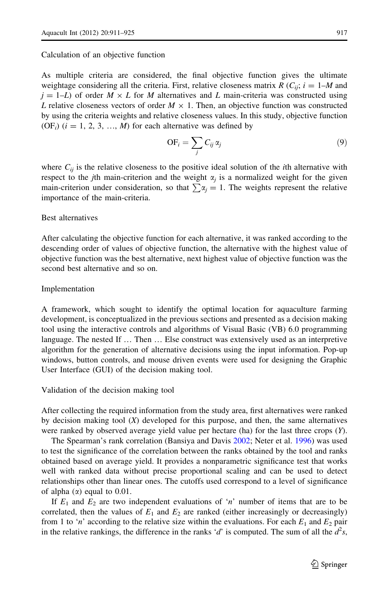#### Calculation of an objective function

As multiple criteria are considered, the final objective function gives the ultimate weightage considering all the criteria. First, relative closeness matrix R ( $C_{ii}$ ;  $i = 1-M$  and  $j = 1-L$ ) of order  $M \times L$  for M alternatives and L main-criteria was constructed using L relative closeness vectors of order  $M \times 1$ . Then, an objective function was constructed by using the criteria weights and relative closeness values. In this study, objective function  $(OF<sub>i</sub>)$  ( $i = 1, 2, 3, ..., M$ ) for each alternative was defined by

$$
\mathrm{OF}_{i} = \sum_{j} C_{ij} \alpha_{j} \tag{9}
$$

where  $C_{ij}$  is the relative closeness to the positive ideal solution of the *i*th alternative with respect to the jth main-criterion and the weight  $\alpha_i$  is a normalized weight for the given main-criterion under consideration, so that  $\sum \alpha_i = 1$ . The weights represent the relative importance of the main-criteria.

# Best alternatives

After calculating the objective function for each alternative, it was ranked according to the descending order of values of objective function, the alternative with the highest value of objective function was the best alternative, next highest value of objective function was the second best alternative and so on.

# Implementation

A framework, which sought to identify the optimal location for aquaculture farming development, is conceptualized in the previous sections and presented as a decision making tool using the interactive controls and algorithms of Visual Basic (VB) 6.0 programming language. The nested If … Then … Else construct was extensively used as an interpretive algorithm for the generation of alternative decisions using the input information. Pop-up windows, button controls, and mouse driven events were used for designing the Graphic User Interface (GUI) of the decision making tool.

Validation of the decision making tool

After collecting the required information from the study area, first alternatives were ranked by decision making tool  $(X)$  developed for this purpose, and then, the same alternatives were ranked by observed average yield value per hectare (ha) for the last three crops (Y).

The Spearman's rank correlation (Bansiya and Davis [2002;](#page-14-0) Neter et al. [1996](#page-14-0)) was used to test the significance of the correlation between the ranks obtained by the tool and ranks obtained based on average yield. It provides a nonparametric significance test that works well with ranked data without precise proportional scaling and can be used to detect relationships other than linear ones. The cutoffs used correspond to a level of significance of alpha  $(\alpha)$  equal to 0.01.

If  $E_1$  and  $E_2$  are two independent evaluations of 'n' number of items that are to be correlated, then the values of  $E_1$  and  $E_2$  are ranked (either increasingly or decreasingly) from 1 to 'n' according to the relative size within the evaluations. For each  $E_1$  and  $E_2$  pair in the relative rankings, the difference in the ranks 'd' is computed. The sum of all the  $d^2s$ ,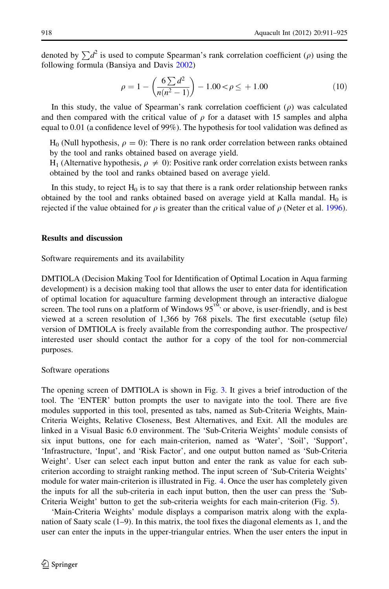denoted by  $\sum d^2$  is used to compute Spearman's rank correlation coefficient ( $\rho$ ) using the following formula (Bansiya and Davis [2002\)](#page-14-0)

$$
\rho = 1 - \left(\frac{6\sum d^2}{n(n^2 - 1)}\right) - 1.00 < \rho \le +1.00\tag{10}
$$

In this study, the value of Spearman's rank correlation coefficient  $(\rho)$  was calculated and then compared with the critical value of  $\rho$  for a dataset with 15 samples and alpha equal to 0.01 (a confidence level of 99%). The hypothesis for tool validation was defined as

 $H_0$  (Null hypothesis,  $\rho = 0$ ): There is no rank order correlation between ranks obtained by the tool and ranks obtained based on average yield.

H<sub>1</sub> (Alternative hypothesis,  $\rho \neq 0$ ): Positive rank order correlation exists between ranks obtained by the tool and ranks obtained based on average yield.

In this study, to reject  $H_0$  is to say that there is a rank order relationship between ranks obtained by the tool and ranks obtained based on average yield at Kalla mandal.  $H_0$  is rejected if the value obtained for  $\rho$  is greater than the critical value of  $\rho$  (Neter et al. [1996](#page-14-0)).

# Results and discussion

Software requirements and its availability

DMTIOLA (Decision Making Tool for Identification of Optimal Location in Aqua farming development) is a decision making tool that allows the user to enter data for identification of optimal location for aquaculture farming development through an interactive dialogue screen. The tool runs on a platform of Windows  $95^{\text{TM}}$ , or above, is user-friendly, and is best viewed at a screen resolution of 1,366 by 768 pixels. The first executable (setup file) version of DMTIOLA is freely available from the corresponding author. The prospective/ interested user should contact the author for a copy of the tool for non-commercial purposes.

#### Software operations

The opening screen of DMTIOLA is shown in Fig. [3](#page-8-0). It gives a brief introduction of the tool. The 'ENTER' button prompts the user to navigate into the tool. There are five modules supported in this tool, presented as tabs, named as Sub-Criteria Weights, Main-Criteria Weights, Relative Closeness, Best Alternatives, and Exit. All the modules are linked in a Visual Basic 6.0 environment. The 'Sub-Criteria Weights' module consists of six input buttons, one for each main-criterion, named as 'Water', 'Soil', 'Support', 'Infrastructure, 'Input', and 'Risk Factor', and one output button named as 'Sub-Criteria Weight'. User can select each input button and enter the rank as value for each subcriterion according to straight ranking method. The input screen of 'Sub-Criteria Weights' module for water main-criterion is illustrated in Fig. [4.](#page-8-0) Once the user has completely given the inputs for all the sub-criteria in each input button, then the user can press the 'Sub-Criteria Weight' button to get the sub-criteria weights for each main-criterion (Fig. [5](#page-9-0)).

'Main-Criteria Weights' module displays a comparison matrix along with the explanation of Saaty scale (1–9). In this matrix, the tool fixes the diagonal elements as 1, and the user can enter the inputs in the upper-triangular entries. When the user enters the input in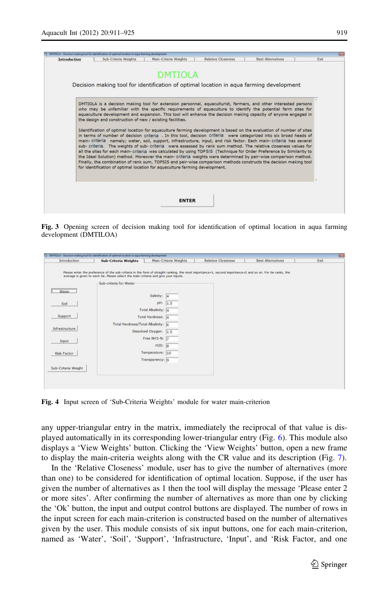<span id="page-8-0"></span>

Fig. 3 Opening screen of decision making tool for identification of optimal location in aqua farming development (DMTILOA)

| Introduction        | <b>Sub-Criteria Weights</b>                                                                                                                                                                                                                      | Main-Criteria Weights                  | <b>Relative Closeness</b> | <b>Best Alternatives</b> | Exit |
|---------------------|--------------------------------------------------------------------------------------------------------------------------------------------------------------------------------------------------------------------------------------------------|----------------------------------------|---------------------------|--------------------------|------|
|                     | Please enter the preference of the sub-criteria in the form of straight ranking, the most importance=1, second importance=2 and so on. For tie ranks, the<br>average is given to each tie. Please select the main-criteria and give your inputs. |                                        |                           |                          |      |
|                     | Sub-criteria for Water                                                                                                                                                                                                                           |                                        |                           |                          |      |
| Water               |                                                                                                                                                                                                                                                  | Salinity: 4                            |                           |                          |      |
| Soil                |                                                                                                                                                                                                                                                  | pH:<br>1.5                             |                           |                          |      |
|                     |                                                                                                                                                                                                                                                  | Total Alkalinity: 4                    |                           |                          |      |
| Support             |                                                                                                                                                                                                                                                  | Total Hardness: 4                      |                           |                          |      |
| Infrastructure      | Total Hardness/Total Alkalinity: 6                                                                                                                                                                                                               |                                        |                           |                          |      |
|                     |                                                                                                                                                                                                                                                  | Dissolved Oxygen: 1.5<br>Free NH3-N: 7 |                           |                          |      |
| Input               |                                                                                                                                                                                                                                                  | H2S: 8                                 |                           |                          |      |
| Risk Factor         |                                                                                                                                                                                                                                                  | Temperature: 10                        |                           |                          |      |
|                     |                                                                                                                                                                                                                                                  | Transparency: 9                        |                           |                          |      |
| Sub-Criteria Weight |                                                                                                                                                                                                                                                  |                                        |                           |                          |      |
|                     |                                                                                                                                                                                                                                                  |                                        |                           |                          |      |

Fig. 4 Input screen of 'Sub-Criteria Weights' module for water main-criterion

any upper-triangular entry in the matrix, immediately the reciprocal of that value is displayed automatically in its corresponding lower-triangular entry (Fig. [6](#page-9-0)). This module also displays a 'View Weights' button. Clicking the 'View Weights' button, open a new frame to display the main-criteria weights along with the CR value and its description (Fig. [7](#page-10-0)).

In the 'Relative Closeness' module, user has to give the number of alternatives (more than one) to be considered for identification of optimal location. Suppose, if the user has given the number of alternatives as 1 then the tool will display the message 'Please enter 2 or more sites'. After confirming the number of alternatives as more than one by clicking the 'Ok' button, the input and output control buttons are displayed. The number of rows in the input screen for each main-criterion is constructed based on the number of alternatives given by the user. This module consists of six input buttons, one for each main-criterion, named as 'Water', 'Soil', 'Support', 'Infrastructure, 'Input', and 'Risk Factor, and one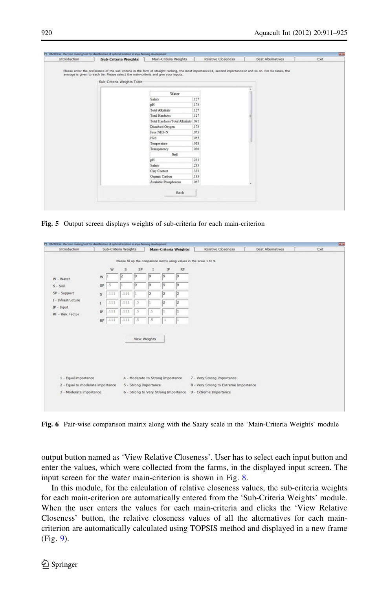<span id="page-9-0"></span>

| Introduction | <b>Sub-Criteria Weights</b>                                                                                                                                                                                                                                                    | Main-Criteria Weights           |      | <b>Relative Closeness</b> |           | <b>Best Alternatives</b> | Exit |  |  |
|--------------|--------------------------------------------------------------------------------------------------------------------------------------------------------------------------------------------------------------------------------------------------------------------------------|---------------------------------|------|---------------------------|-----------|--------------------------|------|--|--|
|              | Please enter the preference of the sub-criteria in the form of straight ranking, the most importance=1, second importance=2 and so on. For tie ranks, the<br>average is given to each tie. Please select the main-criteria and give your inputs.<br>Sub-Criteria Weights Table |                                 |      |                           |           |                          |      |  |  |
|              |                                                                                                                                                                                                                                                                                |                                 |      |                           |           |                          |      |  |  |
|              |                                                                                                                                                                                                                                                                                | Water                           |      |                           |           |                          |      |  |  |
|              |                                                                                                                                                                                                                                                                                | Salinty                         | 127  |                           |           |                          |      |  |  |
|              |                                                                                                                                                                                                                                                                                | pH                              | 173  |                           |           |                          |      |  |  |
|              |                                                                                                                                                                                                                                                                                | Total Alkalinity                | 127  |                           |           |                          |      |  |  |
|              |                                                                                                                                                                                                                                                                                | <b>Total Hardness</b>           | 127  |                           |           |                          |      |  |  |
|              |                                                                                                                                                                                                                                                                                | Total Hardness/Total Alkalinity | 091  |                           |           |                          |      |  |  |
|              |                                                                                                                                                                                                                                                                                | 173<br>Dissolved Oxygen         |      |                           |           |                          |      |  |  |
|              |                                                                                                                                                                                                                                                                                | Free NH3-N                      | .073 |                           |           |                          |      |  |  |
|              |                                                                                                                                                                                                                                                                                | H2S                             | 055  |                           |           |                          |      |  |  |
|              |                                                                                                                                                                                                                                                                                | Temperature                     | 018  |                           |           |                          |      |  |  |
|              |                                                                                                                                                                                                                                                                                | Transparency                    | 036  |                           |           |                          |      |  |  |
|              |                                                                                                                                                                                                                                                                                | Soil                            |      |                           |           |                          |      |  |  |
|              |                                                                                                                                                                                                                                                                                | pH                              | 233  |                           |           |                          |      |  |  |
|              |                                                                                                                                                                                                                                                                                | Salinty                         | 233  |                           |           |                          |      |  |  |
|              |                                                                                                                                                                                                                                                                                | Clay Content                    | 333  |                           |           |                          |      |  |  |
|              |                                                                                                                                                                                                                                                                                | Organic Carbon                  | 133  |                           |           |                          |      |  |  |
|              |                                                                                                                                                                                                                                                                                | Available Phosphorous           | 067  |                           | $\bullet$ |                          |      |  |  |
|              |                                                                                                                                                                                                                                                                                | Back                            |      |                           |           |                          |      |  |  |

Fig. 5 Output screen displays weights of sub-criteria for each main-criterion

| Introduction                     |    |      | Sub-Criteria Weights |                       |              | <b>Main-Criteria Weights</b>         |     | <b>Relative Closeness</b>                                              | <b>Best Alternatives</b> | Exit |
|----------------------------------|----|------|----------------------|-----------------------|--------------|--------------------------------------|-----|------------------------------------------------------------------------|--------------------------|------|
|                                  |    |      |                      |                       |              |                                      |     |                                                                        |                          |      |
|                                  |    |      |                      |                       |              |                                      |     | Please fill up the comparison matrix using values in the scale 1 to 9. |                          |      |
|                                  |    | W    | S                    | SP                    |              | IP                                   | RF  |                                                                        |                          |      |
|                                  | W  |      |                      | l9                    | 9            | l9                                   | l9  |                                                                        |                          |      |
| W - Water                        |    |      |                      |                       |              |                                      |     |                                                                        |                          |      |
| $S - Sol$                        | SP | .5   |                      | 9                     | 9            | 9                                    | 9   |                                                                        |                          |      |
| SP - Support                     | s  | .111 | .111                 | l1.                   | 12           | l2                                   | 12  |                                                                        |                          |      |
| I - Infrastructure               | Ī  | .111 | .111                 | $\sim$                |              | l2                                   | 12  |                                                                        |                          |      |
| $IP$ - Input                     |    |      |                      |                       |              |                                      |     |                                                                        |                          |      |
| RF - Risk Factor                 | IP | .111 | .111                 | .5                    | 5            |                                      | 1   |                                                                        |                          |      |
|                                  | RF | .111 | .111                 | $.5\phantom{0}$       | .5           | $\mathbf 1$                          | lt. |                                                                        |                          |      |
|                                  |    |      |                      |                       |              |                                      |     |                                                                        |                          |      |
|                                  |    |      |                      |                       |              |                                      |     |                                                                        |                          |      |
|                                  |    |      |                      |                       | View Weights |                                      |     |                                                                        |                          |      |
|                                  |    |      |                      |                       |              |                                      |     |                                                                        |                          |      |
|                                  |    |      |                      |                       |              |                                      |     |                                                                        |                          |      |
|                                  |    |      |                      |                       |              |                                      |     |                                                                        |                          |      |
|                                  |    |      |                      |                       |              |                                      |     |                                                                        |                          |      |
|                                  |    |      |                      |                       |              |                                      |     |                                                                        |                          |      |
| 1 - Equal importance             |    |      |                      |                       |              | 4 - Moderate to Strong Importance    |     | 7 - Very Strong Importance                                             |                          |      |
|                                  |    |      |                      |                       |              |                                      |     | 8 - Very Strong to Extreme Importance                                  |                          |      |
| 2 - Equal to moderate importance |    |      |                      | 5 - Strong Importance |              |                                      |     |                                                                        |                          |      |
| 3 - Moderate importance          |    |      |                      |                       |              | 6 - Strong to Very Strong Importance |     | 9 - Extreme Importance                                                 |                          |      |

Fig. 6 Pair-wise comparison matrix along with the Saaty scale in the 'Main-Criteria Weights' module

output button named as 'View Relative Closeness'. User has to select each input button and enter the values, which were collected from the farms, in the displayed input screen. The input screen for the water main-criterion is shown in Fig. [8](#page-10-0).

In this module, for the calculation of relative closeness values, the sub-criteria weights for each main-criterion are automatically entered from the 'Sub-Criteria Weights' module. When the user enters the values for each main-criteria and clicks the 'View Relative Closeness' button, the relative closeness values of all the alternatives for each maincriterion are automatically calculated using TOPSIS method and displayed in a new frame (Fig. [9\)](#page-11-0).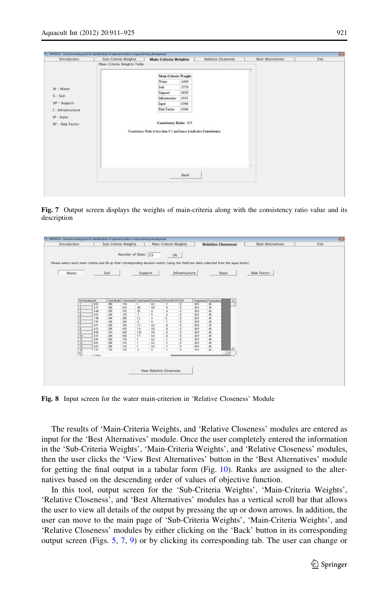<span id="page-10-0"></span>

| Main-Criteria Weights Table<br>×<br>Main Criteria Weight<br>.4489<br>Water<br>3576<br>Sol<br>W - Water<br>.0659<br>Support<br>$S - Sol$<br>.0543<br>Infrastructure<br>SP - Support<br>.0366<br>Input<br>.0366<br>Risk Factor<br>I - Infrastructure<br>$IP$ - Input<br>Consistency Ratio: .035<br>RF - Risk Factor<br>Consistency Ratio is less than 0.1 and hence it indicates Consistency.<br>$\sim$<br>Back | Introduction | Sub-Criteria Weights | <b>Main-Criteria Weights</b> | <b>Relative Closeness</b> | <b>Best Alternatives</b> | Exit |
|---------------------------------------------------------------------------------------------------------------------------------------------------------------------------------------------------------------------------------------------------------------------------------------------------------------------------------------------------------------------------------------------------------------|--------------|----------------------|------------------------------|---------------------------|--------------------------|------|
|                                                                                                                                                                                                                                                                                                                                                                                                               |              |                      |                              |                           |                          |      |
|                                                                                                                                                                                                                                                                                                                                                                                                               |              |                      |                              |                           |                          |      |
|                                                                                                                                                                                                                                                                                                                                                                                                               |              |                      |                              |                           |                          |      |
|                                                                                                                                                                                                                                                                                                                                                                                                               |              |                      |                              |                           |                          |      |
|                                                                                                                                                                                                                                                                                                                                                                                                               |              |                      |                              |                           |                          |      |
|                                                                                                                                                                                                                                                                                                                                                                                                               |              |                      |                              |                           |                          |      |
|                                                                                                                                                                                                                                                                                                                                                                                                               |              |                      |                              |                           |                          |      |
|                                                                                                                                                                                                                                                                                                                                                                                                               |              |                      |                              |                           |                          |      |
|                                                                                                                                                                                                                                                                                                                                                                                                               |              |                      |                              |                           |                          |      |
|                                                                                                                                                                                                                                                                                                                                                                                                               |              |                      |                              |                           |                          |      |
|                                                                                                                                                                                                                                                                                                                                                                                                               |              |                      |                              |                           |                          |      |
|                                                                                                                                                                                                                                                                                                                                                                                                               |              |                      |                              |                           |                          |      |
|                                                                                                                                                                                                                                                                                                                                                                                                               |              |                      |                              |                           |                          |      |
|                                                                                                                                                                                                                                                                                                                                                                                                               |              |                      |                              |                           |                          |      |
|                                                                                                                                                                                                                                                                                                                                                                                                               |              |                      |                              |                           |                          |      |
|                                                                                                                                                                                                                                                                                                                                                                                                               |              |                      |                              |                           |                          |      |
|                                                                                                                                                                                                                                                                                                                                                                                                               |              |                      |                              |                           |                          |      |
|                                                                                                                                                                                                                                                                                                                                                                                                               |              |                      |                              |                           |                          |      |
|                                                                                                                                                                                                                                                                                                                                                                                                               |              |                      |                              |                           |                          |      |
|                                                                                                                                                                                                                                                                                                                                                                                                               |              |                      |                              |                           |                          |      |

Fig. 7 Output screen displays the weights of main-criteria along with the consistency ratio value and its description



Fig. 8 Input screen for the water main-criterion in 'Relative Closeness' Module

The results of 'Main-Criteria Weights, and 'Relative Closeness' modules are entered as input for the 'Best Alternatives' module. Once the user completely entered the information in the 'Sub-Criteria Weights', 'Main-Criteria Weights', and 'Relative Closeness' modules, then the user clicks the 'View Best Alternatives' button in the 'Best Alternatives' module for getting the final output in a tabular form  $(Fig. 10)$  $(Fig. 10)$ . Ranks are assigned to the alternatives based on the descending order of values of objective function.

In this tool, output screen for the 'Sub-Criteria Weights', 'Main-Criteria Weights', 'Relative Closeness', and 'Best Alternatives' modules has a vertical scroll bar that allows the user to view all details of the output by pressing the up or down arrows. In addition, the user can move to the main page of 'Sub-Criteria Weights', 'Main-Criteria Weights', and 'Relative Closeness' modules by either clicking on the 'Back' button in its corresponding output screen (Figs. [5](#page-9-0), 7, [9\)](#page-11-0) or by clicking its corresponding tab. The user can change or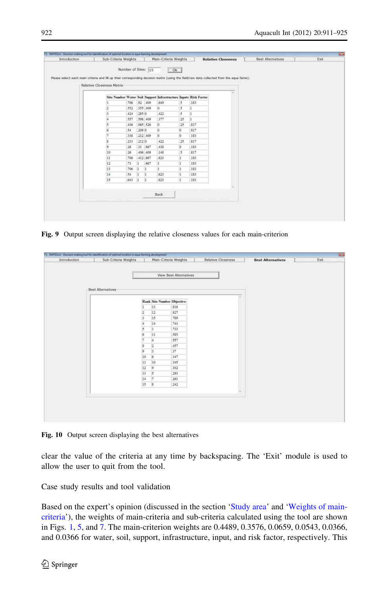<span id="page-11-0"></span>

| Introduction | Sub-Criteria Weights                                                                                                                       |                     |              |              | Main-Criteria Weights                                            |                          |      | <b>Relative Closeness</b> |  | <b>Best Alternatives</b> | Exit |
|--------------|--------------------------------------------------------------------------------------------------------------------------------------------|---------------------|--------------|--------------|------------------------------------------------------------------|--------------------------|------|---------------------------|--|--------------------------|------|
|              |                                                                                                                                            |                     |              |              |                                                                  |                          |      |                           |  |                          |      |
|              |                                                                                                                                            | Number of Sites: 15 |              |              |                                                                  |                          |      |                           |  |                          |      |
|              | Please select each main-criteria and fill up their corresponding decision matrix (using the field/raw data collected from the agua farms). |                     |              |              |                                                                  |                          |      |                           |  |                          |      |
|              | Relative Closeness Matrix                                                                                                                  |                     |              |              |                                                                  |                          |      |                           |  |                          |      |
|              |                                                                                                                                            |                     |              |              |                                                                  |                          |      |                           |  |                          |      |
|              |                                                                                                                                            |                     |              |              | Site Number Water Soil Support Infrastructure Inputs Risk Factor |                          |      |                           |  |                          |      |
|              |                                                                                                                                            | .706                |              | 92 409       | 649                                                              | $\overline{\mathcal{L}}$ | .183 |                           |  |                          |      |
|              | 12                                                                                                                                         | 552                 |              | 355 409      | $\circ$                                                          | $\overline{\mathcal{L}}$ | ı    |                           |  |                          |      |
|              | 3                                                                                                                                          | 424                 | 2850         |              | 422                                                              | $\overline{5}$           | 1    |                           |  |                          |      |
|              | l4                                                                                                                                         | 557                 |              | 598 409      | 377                                                              | 25                       | 1    |                           |  |                          |      |
|              | $\overline{\phantom{a}}$                                                                                                                   | 436                 |              | .065 526     | $\circ$                                                          | 25                       | 817  |                           |  |                          |      |
|              | 6                                                                                                                                          | 54                  | 209 0        |              | $\overline{0}$                                                   | $ 0\rangle$              | 817  |                           |  |                          |      |
|              | 7                                                                                                                                          | 338                 |              | 212 409      | $\circ$                                                          | $\overline{0}$           | .183 |                           |  |                          |      |
|              | 8                                                                                                                                          | 233                 | 2120         |              | 422                                                              | 25                       | 817  |                           |  |                          |      |
|              | $\overline{9}$                                                                                                                             | 26                  |              | 31 667       | 438                                                              | $\sqrt{0}$               | .183 |                           |  |                          |      |
|              | 10                                                                                                                                         | 26                  |              | 406 409      | 148                                                              | $\overline{5}$           | 817  |                           |  |                          |      |
|              | 11                                                                                                                                         | 706                 |              | 412 667      | 623                                                              | I.                       | .183 |                           |  |                          |      |
|              | 12                                                                                                                                         | .73                 | iı.          | 667          | п.                                                               | 1                        | 183  |                           |  |                          |      |
|              | 13                                                                                                                                         | .706                | $\mathbf{1}$ | $\mathbf{1}$ | 1                                                                | $\mathbf{1}$             | .183 |                           |  |                          |      |
|              | 14                                                                                                                                         | 54                  | 11           | $\mathbf{1}$ | 623                                                              | T                        | 183  |                           |  |                          |      |
|              | 15                                                                                                                                         | .643                | $\mathbf{1}$ | $\mathbf{1}$ | 623                                                              | i1.                      | 183  |                           |  |                          |      |
|              |                                                                                                                                            |                     |              |              |                                                                  |                          |      |                           |  |                          |      |
|              |                                                                                                                                            |                     |              |              | Back                                                             |                          |      |                           |  |                          |      |
|              |                                                                                                                                            |                     |              |              |                                                                  |                          |      |                           |  |                          |      |
|              |                                                                                                                                            |                     |              |              |                                                                  |                          |      |                           |  |                          |      |
|              |                                                                                                                                            |                     |              |              |                                                                  |                          |      |                           |  |                          |      |

Fig. 9 Output screen displaying the relative closeness values for each main-criterion

| Introduction | Sub-Criteria Weights     |                                   | Main-Criteria Weights  | <b>Relative Closeness</b> | <b>Best Alternatives</b> | Exit |
|--------------|--------------------------|-----------------------------------|------------------------|---------------------------|--------------------------|------|
|              |                          |                                   |                        |                           |                          |      |
|              |                          |                                   |                        |                           |                          |      |
|              |                          |                                   | View Best Alternatives |                           |                          |      |
|              |                          |                                   |                        |                           |                          |      |
|              | <b>Best Alternatives</b> |                                   |                        |                           |                          |      |
|              |                          |                                   |                        |                           |                          |      |
|              |                          | <b>Rank Site Number Objective</b> |                        |                           |                          |      |
|              |                          | 13<br>1                           | 838                    |                           |                          |      |
|              |                          | 12<br>12                          | 827                    |                           |                          |      |
|              |                          | 15                                | 789                    |                           |                          |      |
|              |                          | 14                                | .743                   |                           |                          |      |
|              |                          | $\overline{1}$<br>5               | .733                   |                           |                          |      |
|              |                          | 11<br>$\sqrt{6}$                  | 585                    |                           |                          |      |
|              |                          | l4<br>h                           | 557                    |                           |                          |      |
|              |                          | $\overline{2}$<br>s               | ,457                   |                           |                          |      |
|              |                          | $\overline{3}$<br>$\circ$         | 37                     |                           |                          |      |
|              |                          | $6\overline{6}$<br>10             | 347                    |                           |                          |      |
|              |                          | 10<br>11                          | 345                    |                           |                          |      |
|              |                          | $\overline{9}$<br>12              | 302                    |                           |                          |      |
|              |                          | $\overline{\mathbf{5}}$<br>13     | 293                    |                           |                          |      |
|              |                          | $\overline{7}$<br>14              | 261                    |                           |                          |      |
|              |                          | $\vert$ 8<br>15                   | 242                    |                           |                          |      |
|              |                          |                                   |                        |                           |                          |      |
|              |                          |                                   |                        |                           |                          |      |
|              |                          |                                   |                        |                           |                          |      |
|              |                          |                                   |                        |                           |                          |      |
|              |                          |                                   |                        |                           |                          |      |

Fig. 10 Output screen displaying the best alternatives

clear the value of the criteria at any time by backspacing. The 'Exit' module is used to allow the user to quit from the tool.

Case study results and tool validation

Based on the expert's opinion (discussed in the section '[Study area](#page-3-0)' and ['Weights of main](#page-3-0)[criteria'](#page-3-0)), the weights of main-criteria and sub-criteria calculated using the tool are shown in Figs. [1,](#page-2-0) [5](#page-9-0), and [7.](#page-10-0) The main-criterion weights are 0.4489, 0.3576, 0.0659, 0.0543, 0.0366, and 0.0366 for water, soil, support, infrastructure, input, and risk factor, respectively. This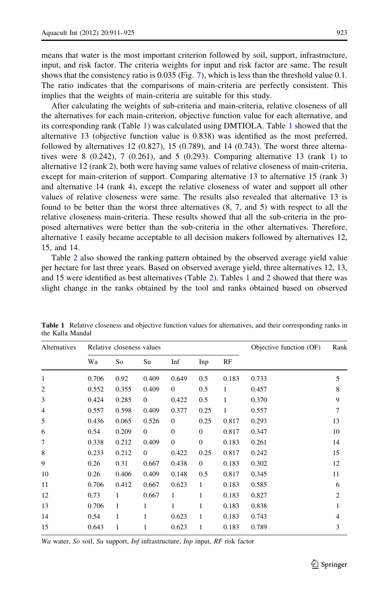means that water is the most important criterion followed by soil, support, infrastructure, input, and risk factor. The criteria weights for input and risk factor are same. The result shows that the consistency ratio is 0.035 (Fig. [7](#page-10-0)), which is less than the threshold value 0.1. The ratio indicates that the comparisons of main-criteria are perfectly consistent. This implies that the weights of main-criteria are suitable for this study.

After calculating the weights of sub-criteria and main-criteria, relative closeness of all the alternatives for each main-criterion, objective function value for each alternative, and its corresponding rank (Table 1) was calculated using DMTIOLA. Table 1 showed that the alternative 13 (objective function value is 0.838) was identified as the most preferred, followed by alternatives  $12 \ (0.827)$ ,  $15 \ (0.789)$ , and  $14 \ (0.743)$ . The worst three alternatives were 8  $(0.242)$ , 7  $(0.261)$ , and 5  $(0.293)$ . Comparing alternative 13  $(\text{rank } 1)$  to alternative 12 (rank 2), both were having same values of relative closeness of main-criteria, except for main-criterion of support. Comparing alternative 13 to alternative 15 (rank 3) and alternative 14 (rank 4), except the relative closeness of water and support all other values of relative closeness were same. The results also revealed that alternative 13 is found to be better than the worst three alternatives (8, 7, and 5) with respect to all the relative closeness main-criteria. These results showed that all the sub-criteria in the proposed alternatives were better than the sub-criteria in the other alternatives. Therefore, alternative 1 easily became acceptable to all decision makers followed by alternatives 12, 15, and 14.

Table [2](#page-13-0) also showed the ranking pattern obtained by the observed average yield value per hectare for last three years. Based on observed average yield, three alternatives 12, 13, and 15 were identified as best alternatives (Table [2](#page-13-0)). Tables 1 and [2](#page-13-0) showed that there was slight change in the ranks obtained by the tool and ranks obtained based on observed

| Alternatives   |       | Relative closeness values |                |                |                |       | Objective function (OF) | Rank |
|----------------|-------|---------------------------|----------------|----------------|----------------|-------|-------------------------|------|
|                | Wa    | So                        | Su             | Inf            | Inp            | RF    |                         |      |
| $\mathbf{1}$   | 0.706 | 0.92                      | 0.409          | 0.649          | 0.5            | 0.183 | 0.733                   | 5    |
| $\overline{2}$ | 0.552 | 0.355                     | 0.409          | $\overline{0}$ | 0.5            | 1     | 0.457                   | 8    |
| 3              | 0.424 | 0.285                     | $\overline{0}$ | 0.422          | 0.5            | 1     | 0.370                   | 9    |
| 4              | 0.557 | 0.598                     | 0.409          | 0.377          | 0.25           | 1     | 0.557                   | 7    |
| 5              | 0.436 | 0.065                     | 0.526          | $\mathbf{0}$   | 0.25           | 0.817 | 0.293                   | 13   |
| 6              | 0.54  | 0.209                     | $\overline{0}$ | $\overline{0}$ | $\mathbf{0}$   | 0.817 | 0.347                   | 10   |
| 7              | 0.338 | 0.212                     | 0.409          | $\mathbf{0}$   | $\mathbf{0}$   | 0.183 | 0.261                   | 14   |
| 8              | 0.233 | 0.212                     | $\overline{0}$ | 0.422          | 0.25           | 0.817 | 0.242                   | 15   |
| 9              | 0.26  | 0.31                      | 0.667          | 0.438          | $\overline{0}$ | 0.183 | 0.302                   | 12   |
| 10             | 0.26  | 0.406                     | 0.409          | 0.148          | 0.5            | 0.817 | 0.345                   | 11   |
| 11             | 0.706 | 0.412                     | 0.667          | 0.623          | 1              | 0.183 | 0.585                   | 6    |
| 12             | 0.73  | 1                         | 0.667          | 1              | 1              | 0.183 | 0.827                   | 2    |
| 13             | 0.706 | $\mathbf{1}$              | 1              | 1              | 1              | 0.183 | 0.838                   | 1    |
| 14             | 0.54  | 1                         | 1              | 0.623          | 1              | 0.183 | 0.743                   | 4    |
| 15             | 0.643 | 1                         | 1              | 0.623          | 1              | 0.183 | 0.789                   | 3    |

Table 1 Relative closeness and objective function values for alternatives, and their corresponding ranks in the Kalla Mandal

Wa water, So soil, Su support, Inf infrastructure, Inp input, RF risk factor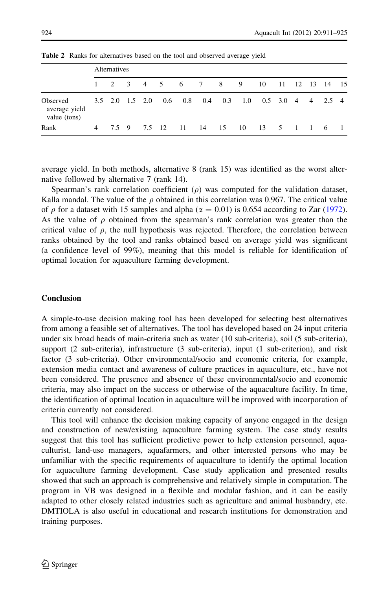|                                           | Alternatives |                         |  |        |  |           |                 |                      |                       |      |                |  |  |  |     |
|-------------------------------------------|--------------|-------------------------|--|--------|--|-----------|-----------------|----------------------|-----------------------|------|----------------|--|--|--|-----|
|                                           |              |                         |  |        |  |           |                 | 1 2 3 4 5 6 7 8 9 10 |                       |      | 11 12 13 14 15 |  |  |  |     |
| Observed<br>average yield<br>value (tons) |              | $3.5$ $2.0$ $1.5$ $2.0$ |  |        |  | $0.6$ 0.8 | $0.4 \quad 0.3$ |                      | 1.0 0.5 3.0 4 4 2.5 4 |      |                |  |  |  |     |
| Rank                                      | 4            | 7.5 9                   |  | 7.5 12 |  | - 11      | 14 15           |                      | -10                   | - 13 | 5 1 1 6        |  |  |  | - 1 |

<span id="page-13-0"></span>Table 2 Ranks for alternatives based on the tool and observed average yield

average yield. In both methods, alternative 8 (rank 15) was identified as the worst alternative followed by alternative 7 (rank 14).

Spearman's rank correlation coefficient  $(\rho)$  was computed for the validation dataset, Kalla mandal. The value of the  $\rho$  obtained in this correlation was 0.967. The critical value of  $\rho$  for a dataset with 15 samples and alpha ( $\alpha = 0.01$ ) is 0.654 according to Zar [\(1972](#page-14-0)). As the value of  $\rho$  obtained from the spearman's rank correlation was greater than the critical value of  $\rho$ , the null hypothesis was rejected. Therefore, the correlation between ranks obtained by the tool and ranks obtained based on average yield was significant (a confidence level of 99%), meaning that this model is reliable for identification of optimal location for aquaculture farming development.

# Conclusion

A simple-to-use decision making tool has been developed for selecting best alternatives from among a feasible set of alternatives. The tool has developed based on 24 input criteria under six broad heads of main-criteria such as water (10 sub-criteria), soil (5 sub-criteria), support (2 sub-criteria), infrastructure (3 sub-criteria), input (1 sub-criterion), and risk factor (3 sub-criteria). Other environmental/socio and economic criteria, for example, extension media contact and awareness of culture practices in aquaculture, etc., have not been considered. The presence and absence of these environmental/socio and economic criteria, may also impact on the success or otherwise of the aquaculture facility. In time, the identification of optimal location in aquaculture will be improved with incorporation of criteria currently not considered.

This tool will enhance the decision making capacity of anyone engaged in the design and construction of new/existing aquaculture farming system. The case study results suggest that this tool has sufficient predictive power to help extension personnel, aquaculturist, land-use managers, aquafarmers, and other interested persons who may be unfamiliar with the specific requirements of aquaculture to identify the optimal location for aquaculture farming development. Case study application and presented results showed that such an approach is comprehensive and relatively simple in computation. The program in VB was designed in a flexible and modular fashion, and it can be easily adapted to other closely related industries such as agriculture and animal husbandry, etc. DMTIOLA is also useful in educational and research institutions for demonstration and training purposes.